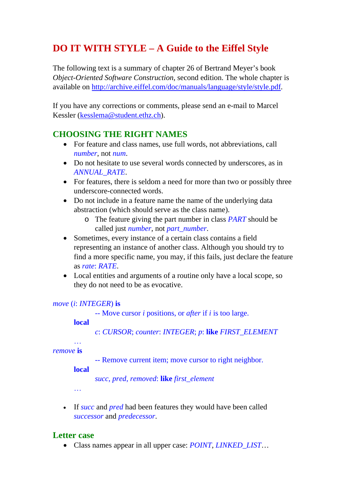# **DO IT WITH STYLE – A Guide to the Eiffel Style**

The following text is a summary of chapter 26 of Bertrand Meyer's book *Object-Oriented Software Construction*, second edition. The whole chapter is available on [http://archive.eiffel.com/doc/manuals/language/style/style.pdf.](http://archive.eiffel.com/doc/manuals/language/style/style.pdf)

If you have any corrections or comments, please send an e-mail to Marcel Kessler [\(kesslema@student.ethz.ch](mailto:kesslema@student.ethz.ch)).

# **CHOOSING THE RIGHT NAMES**

- For feature and class names, use full words, not abbreviations, call *number*, not *num*.
- Do not hesitate to use several words connected by underscores, as in *ANNUAL\_RATE*.
- For features, there is seldom a need for more than two or possibly three underscore-connected words.
- Do not include in a feature name the name of the underlying data abstraction (which should serve as the class name).
	- o The feature giving the part number in class *PART* should be called just *number*, not *part\_number*.
- Sometimes, every instance of a certain class contains a field representing an instance of another class. Although you should try to find a more specific name, you may, if this fails, just declare the feature as *rate*: *RATE*.
- Local entities and arguments of a routine only have a local scope, so they do not need to be as evocative.

#### *move* (*i*: *INTEGER*) **is**

-- Move cursor *i* positions, or *after* if *i* is too large.

#### **local**

…

*c*: *CURSOR*; *counter*: *INTEGER*; *p*: **like** *FIRST\_ELEMENT* 

#### *remove* **is**

-- Remove current item; move cursor to right neighbor.

#### **local**

*succ*, *pred*, *removed*: **like** *first\_element* 

…

• If *succ* and *pred* had been features they would have been called *successor* and *predecessor*.

### **Letter case**

• Class names appear in all upper case: *POINT*, *LINKED\_LIST*…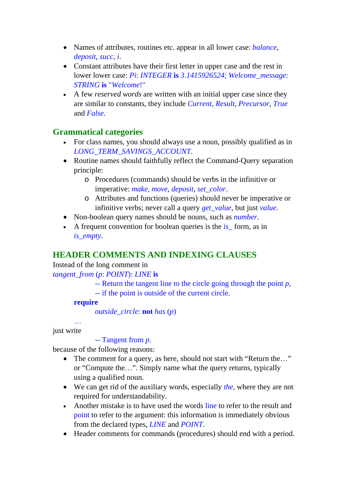- Names of attributes, routines etc. appear in all lower case: *balance*, *deposit*, *succ*, *i*.
- Constant attributes have their first letter in upper case and the rest in lower lower case: *Pi*: *INTEGER* **is** *3*.*1415926524*; *Welcome\_message*: *STRING* **is** "*Welcome*!"
- A few *reserved words* are written with an initial upper case since they are similar to constants, they include *Current*, *Result*, *Precursor*, *True*  and *False*.

### **Grammatical categories**

- For class names, you should always use a noun, possibly qualified as in *LONG\_TERM\_SAVINGS\_ACCOUNT*.
- Routine names should faithfully reflect the Command-Query separation principle:
	- o Procedures (commands) should be verbs in the infinitive or imperative: *make*, *move*, *deposit*, *set\_color*.
	- o Attributes and functions (queries) should never be imperative or infinitive verbs; never call a query *get\_value*, but just *value*.
- Non-boolean query names should be nouns, such as *number*.
- A frequent convention for boolean queries is the *is* form, as in *is\_empty*.

# **HEADER COMMENTS AND INDEXING CLAUSES**

Instead of the long comment in

*tangent\_from* (*p*: *POINT*): *LINE* **is** 

- -- Return the tangent line to the circle going through the point *p*,
- -- if the point is outside of the current circle.

#### **require**

*outside\_circle*: **not** *has* (*p*)

just write

…

### -- Tangent from *p*.

because of the following reasons:

- The comment for a query, as here, should not start with "Return the..." or "Compute the…". Simply name what the query returns, typically using a qualified noun.
- We can get rid of the auxiliary words, especially *the*, where they are not required for understandability.
- Another mistake is to have used the words line to refer to the result and point to refer to the argument: this information is immediately obvious from the declared types, *LINE* and *POINT*.
- Header comments for commands (procedures) should end with a period.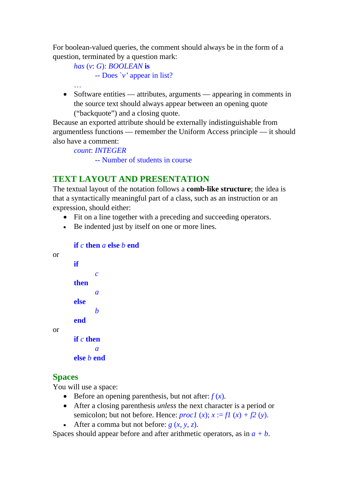For boolean-valued queries, the comment should always be in the form of a question, terminated by a question mark:

```
has (v: G): BOOLEAN is 
       -- Does `v' appear in list? 
…
```
• Software entities — attributes, arguments — appearing in comments in the source text should always appear between an opening quote ("backquote") and a closing quote.

Because an exported attribute should be externally indistinguishable from argumentless functions — remember the Uniform Access principle — it should also have a comment:

*count*: *INTEGER* 

-- Number of students in course

# **TEXT LAYOUT AND PRESENTATION**

The textual layout of the notation follows a **comb-like structure**; the idea is that a syntactically meaningful part of a class, such as an instruction or an expression, should either:

- Fit on a line together with a preceding and succeeding operators.
- Be indented just by itself on one or more lines.

```
if c then a else b end 
or 
        if 
                c 
        then 
                a 
        else 
                b 
        end 
or 
        if c then 
                a 
        else b end
```
### **Spaces**

You will use a space:

- Before an opening parenthesis, but not after:  $f(x)$ .
- After a closing parenthesis *unless* the next character is a period or semicolon; but not before. Hence: *procl*  $(x)$ ;  $x := f(x) + f(2)(y)$ .
- After a comma but not before:  $g(x, y, z)$ .

Spaces should appear before and after arithmetic operators, as in  $a + b$ .